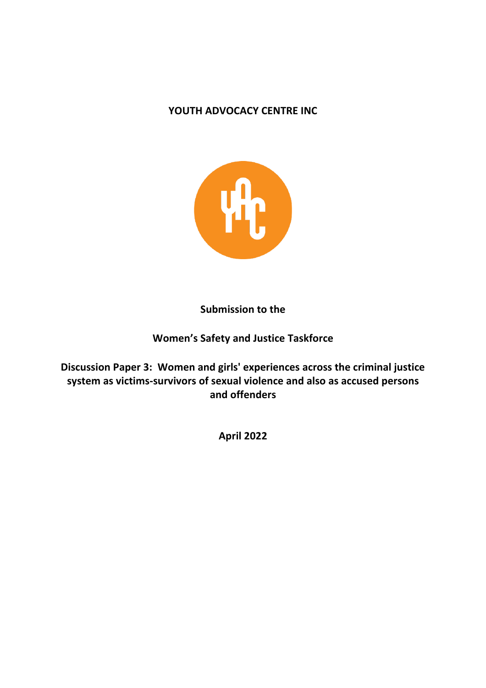## YOUTH ADVOCACY CENTRE INC



**Submission to the** 

# **Women's Safety and Justice Taskforce**

Discussion Paper 3: Women and girls' experiences across the criminal justice system as victims-survivors of sexual violence and also as accused persons **and offenders**

**April 2022**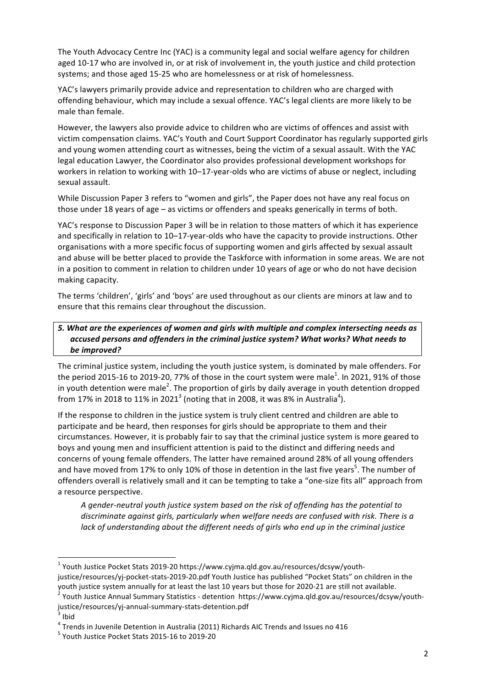The Youth Advocacy Centre Inc (YAC) is a community legal and social welfare agency for children aged 10-17 who are involved in, or at risk of involvement in, the youth justice and child protection systems; and those aged 15-25 who are homelessness or at risk of homelessness.

YAC's lawyers primarily provide advice and representation to children who are charged with offending behaviour, which may include a sexual offence. YAC's legal clients are more likely to be male than female.

However, the lawyers also provide advice to children who are victims of offences and assist with victim compensation claims. YAC's Youth and Court Support Coordinator has regularly supported girls and young women attending court as witnesses, being the victim of a sexual assault. With the YAC legal education Lawyer, the Coordinator also provides professional development workshops for workers in relation to working with 10-17-year-olds who are victims of abuse or neglect, including sexual assault.

While Discussion Paper 3 refers to "women and girls", the Paper does not have any real focus on those under 18 years of age – as victims or offenders and speaks generically in terms of both.

YAC's response to Discussion Paper 3 will be in relation to those matters of which it has experience and specifically in relation to 10-17-year-olds who have the capacity to provide instructions. Other organisations with a more specific focus of supporting women and girls affected by sexual assault and abuse will be better placed to provide the Taskforce with information in some areas. We are not in a position to comment in relation to children under 10 years of age or who do not have decision making capacity.

The terms 'children', 'girls' and 'boys' are used throughout as our clients are minors at law and to ensure that this remains clear throughout the discussion.

## *5. What are the experiences of women and girls with multiple and complex intersecting needs as accused persons and offenders in the criminal justice system? What works? What needs to be improved?*

The criminal justice system, including the youth justice system, is dominated by male offenders. For the period 2015-16 to 2019-20, 77% of those in the court system were male<sup>1</sup>. In 2021, 91% of those in youth detention were male<sup>2</sup>. The proportion of girls by daily average in youth detention dropped from 17% in 2018 to 11% in 2021<sup>3</sup> (noting that in 2008, it was 8% in Australia<sup>4</sup>).

If the response to children in the justice system is truly client centred and children are able to participate and be heard, then responses for girls should be appropriate to them and their circumstances. However, it is probably fair to say that the criminal justice system is more geared to boys and young men and insufficient attention is paid to the distinct and differing needs and concerns of young female offenders. The latter have remained around 28% of all young offenders and have moved from 17% to only 10% of those in detention in the last five years<sup>5</sup>. The number of offenders overall is relatively small and it can be tempting to take a "one-size fits all" approach from a resource perspective.

A gender-neutral youth justice system based on the risk of offending has the potential to discriminate against girls, particularly when welfare needs are confused with risk. There is a *lack* of understanding about the different needs of girls who end up in the criminal justice

<sup>&</sup>lt;sup>1</sup> Youth Justice Pocket Stats 2019-20 https://www.cyjma.qld.gov.au/resources/dcsyw/youthjustice/resources/yj-pocket-stats-2019-20.pdf Youth Justice has published "Pocket Stats" on children in the youth justice system annually for at least the last 10 years but those for 2020-21 are still not available.<br><sup>2</sup> Youth Justice Annual Summary Statistics - detention https://www.cyjma.qld.gov.au/resources/dcsyw/youth-

justice/resources/yj-annual-summary-stats-detention.pdf<br><sup>3</sup> Ibid

 $4$  Trends in Juvenile Detention in Australia (2011) Richards AIC Trends and Issues no 416

 $<sup>5</sup>$  Youth Justice Pocket Stats 2015-16 to 2019-20</sup>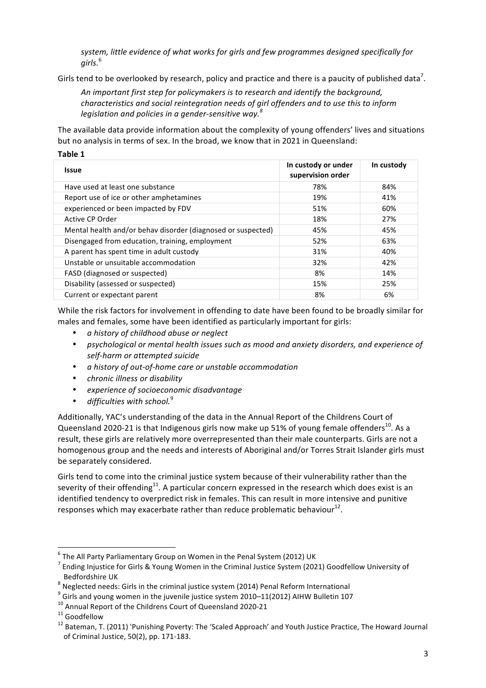system, little evidence of what works for girls and few programmes designed specifically for *girls.* 6

Girls tend to be overlooked by research, policy and practice and there is a paucity of published data<sup>7</sup>.

An important first step for policymakers is to research and identify the background, *characteristics and social reintegration needs of girl offenders and to use this to inform legislation and policies in a gender-sensitive way. 8*

The available data provide information about the complexity of young offenders' lives and situations but no analysis in terms of sex. In the broad, we know that in 2021 in Queensland:

| . .<br>×<br>۰,<br>۰, |
|----------------------|
|----------------------|

| <b>Issue</b>                                                 | In custody or under<br>supervision order | In custody |
|--------------------------------------------------------------|------------------------------------------|------------|
| Have used at least one substance                             | 78%                                      | 84%        |
| Report use of ice or other amphetamines                      | 19%                                      | 41%        |
| experienced or been impacted by FDV                          | 51%                                      | 60%        |
| Active CP Order                                              | 18%                                      | 27%        |
| Mental health and/or behav disorder (diagnosed or suspected) | 45%                                      | 45%        |
| Disengaged from education, training, employment              | 52%                                      | 63%        |
| A parent has spent time in adult custody                     | 31%                                      | 40%        |
| Unstable or unsuitable accommodation                         | 32%                                      | 42%        |
| FASD (diagnosed or suspected)                                | 8%                                       | 14%        |
| Disability (assessed or suspected)                           | 15%                                      | 25%        |
| Current or expectant parent                                  | 8%                                       | 6%         |

While the risk factors for involvement in offending to date have been found to be broadly similar for males and females, some have been identified as particularly important for girls:

- *a history of childhood abuse or neglect*
- psychological or mental health issues such as mood and anxiety disorders, and experience of *self-harm or attempted suicide*
- *a history of out-of-home care or unstable accommodation*
- *chronic illness or disability*
- *experience of socioeconomic disadvantage*
- difficulties with school.<sup>9</sup>

Additionally, YAC's understanding of the data in the Annual Report of the Childrens Court of Queensland 2020-21 is that Indigenous girls now make up 51% of young female offenders<sup>10</sup>. As a result, these girls are relatively more overrepresented than their male counterparts. Girls are not a homogenous group and the needs and interests of Aboriginal and/or Torres Strait Islander girls must be separately considered.

Girls tend to come into the criminal justice system because of their vulnerability rather than the severity of their offending<sup>11</sup>. A particular concern expressed in the research which does exist is an identified tendency to overpredict risk in females. This can result in more intensive and punitive responses which may exacerbate rather than reduce problematic behaviour $^{12}$ .

 $6$  The All Party Parliamentary Group on Women in the Penal System (2012) UK

 $<sup>7</sup>$  Ending Injustice for Girls & Young Women in the Criminal Justice System (2021) Goodfellow University of</sup>

Bedfordshire UK<br>
<sup>8</sup> Neglected needs: Girls in the criminal justice system (2014) Penal Reform International<br>
<sup>9</sup> Girls and young women in the juvenile justice system 2010–11(2012) AIHW Bulletin 107<br>
<sup>10</sup> Annual Report of of Criminal Justice, 50(2), pp. 171-183.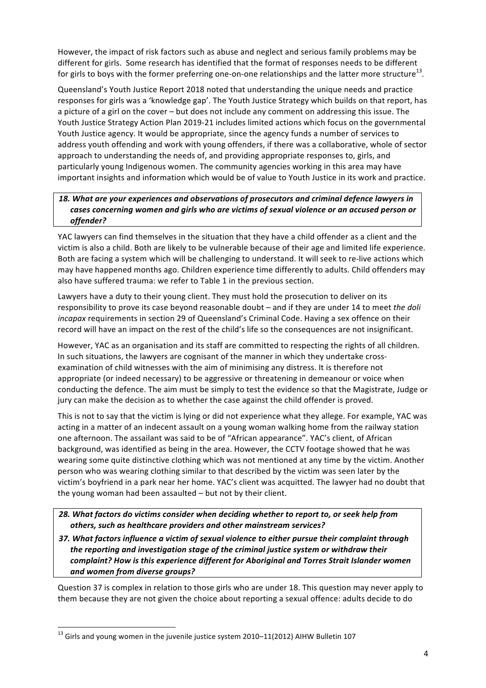However, the impact of risk factors such as abuse and neglect and serious family problems may be different for girls. Some research has identified that the format of responses needs to be different for girls to boys with the former preferring one-on-one relationships and the latter more structure<sup>13</sup>.

Queensland's Youth Justice Report 2018 noted that understanding the unique needs and practice responses for girls was a 'knowledge gap'. The Youth Justice Strategy which builds on that report, has a picture of a girl on the cover – but does not include any comment on addressing this issue. The Youth Justice Strategy Action Plan 2019-21 includes limited actions which focus on the governmental Youth Justice agency. It would be appropriate, since the agency funds a number of services to address youth offending and work with young offenders, if there was a collaborative, whole of sector approach to understanding the needs of, and providing appropriate responses to, girls, and particularly young Indigenous women. The community agencies working in this area may have important insights and information which would be of value to Youth Justice in its work and practice.

#### 18. What are your experiences and observations of prosecutors and criminal defence lawyers in cases concerning women and girls who are victims of sexual violence or an accused person or *offender?*

YAC lawyers can find themselves in the situation that they have a child offender as a client and the victim is also a child. Both are likely to be vulnerable because of their age and limited life experience. Both are facing a system which will be challenging to understand. It will seek to re-live actions which may have happened months ago. Children experience time differently to adults. Child offenders may also have suffered trauma: we refer to Table 1 in the previous section.

Lawyers have a duty to their young client. They must hold the prosecution to deliver on its responsibility to prove its case beyond reasonable doubt – and if they are under 14 to meet the doli *incapax* requirements in section 29 of Queensland's Criminal Code. Having a sex offence on their record will have an impact on the rest of the child's life so the consequences are not insignificant.

However, YAC as an organisation and its staff are committed to respecting the rights of all children. In such situations, the lawyers are cognisant of the manner in which they undertake crossexamination of child witnesses with the aim of minimising any distress. It is therefore not appropriate (or indeed necessary) to be aggressive or threatening in demeanour or voice when conducting the defence. The aim must be simply to test the evidence so that the Magistrate, Judge or jury can make the decision as to whether the case against the child offender is proved.

This is not to say that the victim is lying or did not experience what they allege. For example, YAC was acting in a matter of an indecent assault on a young woman walking home from the railway station one afternoon. The assailant was said to be of "African appearance". YAC's client, of African background, was identified as being in the area. However, the CCTV footage showed that he was wearing some quite distinctive clothing which was not mentioned at any time by the victim. Another person who was wearing clothing similar to that described by the victim was seen later by the victim's boyfriend in a park near her home. YAC's client was acquitted. The lawyer had no doubt that the young woman had been assaulted  $-$  but not by their client.

28. What factors do victims consider when deciding whether to report to, or seek help from others, such as healthcare providers and other mainstream services?

37. What factors influence a victim of sexual violence to either pursue their complaint through the reporting and investigation stage of the criminal justice system or withdraw their complaint? How is this experience different for Aboriginal and Torres Strait Islander women *and women from diverse groups?*

Question 37 is complex in relation to those girls who are under 18. This question may never apply to them because they are not given the choice about reporting a sexual offence: adults decide to do

 $^{13}$  Girls and young women in the juvenile justice system 2010–11(2012) AIHW Bulletin 107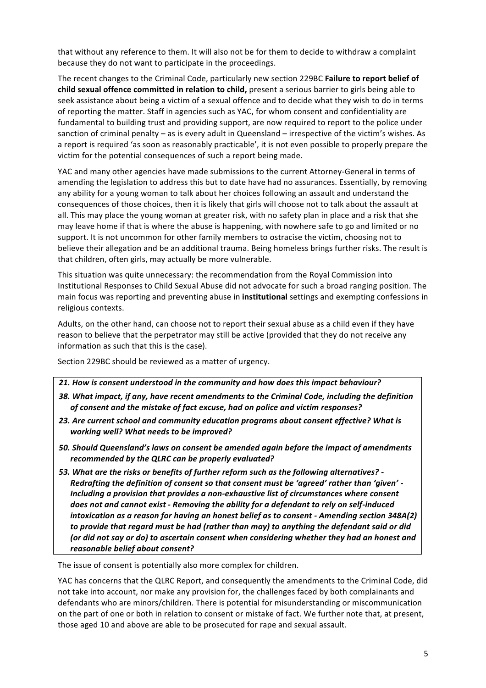that without any reference to them. It will also not be for them to decide to withdraw a complaint because they do not want to participate in the proceedings.

The recent changes to the Criminal Code, particularly new section 229BC **Failure to report belief of child sexual offence committed in relation to child,** present a serious barrier to girls being able to seek assistance about being a victim of a sexual offence and to decide what they wish to do in terms of reporting the matter. Staff in agencies such as YAC, for whom consent and confidentiality are fundamental to building trust and providing support, are now required to report to the police under sanction of criminal penalty – as is every adult in Queensland – irrespective of the victim's wishes. As a report is required 'as soon as reasonably practicable', it is not even possible to properly prepare the victim for the potential consequences of such a report being made.

YAC and many other agencies have made submissions to the current Attorney-General in terms of amending the legislation to address this but to date have had no assurances. Essentially, by removing any ability for a young woman to talk about her choices following an assault and understand the consequences of those choices, then it is likely that girls will choose not to talk about the assault at all. This may place the young woman at greater risk, with no safety plan in place and a risk that she may leave home if that is where the abuse is happening, with nowhere safe to go and limited or no support. It is not uncommon for other family members to ostracise the victim, choosing not to believe their allegation and be an additional trauma. Being homeless brings further risks. The result is that children, often girls, may actually be more vulnerable.

This situation was quite unnecessary: the recommendation from the Royal Commission into Institutional Responses to Child Sexual Abuse did not advocate for such a broad ranging position. The main focus was reporting and preventing abuse in **institutional** settings and exempting confessions in religious contexts.

Adults, on the other hand, can choose not to report their sexual abuse as a child even if they have reason to believe that the perpetrator may still be active (provided that they do not receive any information as such that this is the case).

Section 229BC should be reviewed as a matter of urgency.

*21. How is consent understood in the community and how does this impact behaviour?* 38. What impact, if any, have recent amendments to the Criminal Code, including the definition

- of consent and the mistake of fact excuse, had on police and victim responses?
- 23. Are current school and community education programs about consent effective? What is *working* well? What needs to be improved?
- 50. Should Queensland's laws on consent be amended again before the impact of amendments *recommended by the QLRC can be properly evaluated?*
- 53. What are the risks or benefits of further reform such as the following alternatives? -*Redrafting the definition of consent so that consent must be 'agreed' rather than 'given' -Including a provision that provides a non-exhaustive list of circumstances where consent* does not and cannot exist - Removing the ability for a defendant to rely on self-induced *intoxication as a reason for having an honest belief as to consent - Amending section 348A(2)* to provide that regard must be had (rather than may) to anything the defendant said or did (or did not say or do) to ascertain consent when considering whether they had an honest and *reasonable belief about consent?*

The issue of consent is potentially also more complex for children.

YAC has concerns that the QLRC Report, and consequently the amendments to the Criminal Code, did not take into account, nor make any provision for, the challenges faced by both complainants and defendants who are minors/children. There is potential for misunderstanding or miscommunication on the part of one or both in relation to consent or mistake of fact. We further note that, at present, those aged 10 and above are able to be prosecuted for rape and sexual assault.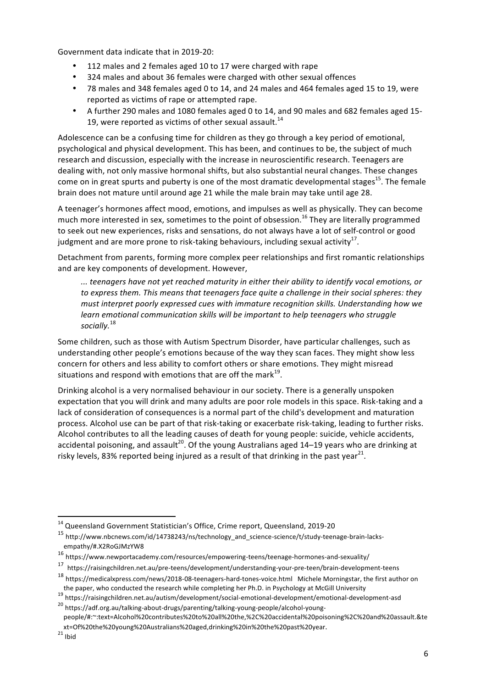Government data indicate that in 2019-20:

- 112 males and 2 females aged 10 to 17 were charged with rape
- 324 males and about 36 females were charged with other sexual offences
- \* 78 males and 348 females aged 0 to 14, and 24 males and 464 females aged 15 to 19, were reported as victims of rape or attempted rape.
- A further 290 males and 1080 females aged 0 to 14, and 90 males and 682 females aged 15-19, were reported as victims of other sexual assault.<sup>14</sup>

Adolescence can be a confusing time for children as they go through a key period of emotional, psychological and physical development. This has been, and continues to be, the subject of much research and discussion, especially with the increase in neuroscientific research. Teenagers are dealing with, not only massive hormonal shifts, but also substantial neural changes. These changes come on in great spurts and puberty is one of the most dramatic developmental stages<sup>15</sup>. The female brain does not mature until around age 21 while the male brain may take until age 28.

A teenager's hormones affect mood, emotions, and impulses as well as physically. They can become much more interested in sex, sometimes to the point of obsession.<sup>16</sup> They are literally programmed to seek out new experiences, risks and sensations, do not always have a lot of self-control or good judgment and are more prone to risk-taking behaviours, including sexual activity<sup>17</sup>.

Detachment from parents, forming more complex peer relationships and first romantic relationships and are key components of development. However,

*... teenagers have not yet reached maturity in either their ability to identify vocal emotions, or*  to express them. This means that teenagers face quite a challenge in their social spheres: they must interpret poorly expressed cues with immature recognition skills. Understanding how we *learn emotional communication skills will be important to help teenagers who struggle socially.* 18

Some children, such as those with Autism Spectrum Disorder, have particular challenges, such as understanding other people's emotions because of the way they scan faces. They might show less concern for others and less ability to comfort others or share emotions. They might misread situations and respond with emotions that are off the mark $^{19}$ .

Drinking alcohol is a very normalised behaviour in our society. There is a generally unspoken expectation that you will drink and many adults are poor role models in this space. Risk-taking and a lack of consideration of consequences is a normal part of the child's development and maturation process. Alcohol use can be part of that risk-taking or exacerbate risk-taking, leading to further risks. Alcohol contributes to all the leading causes of death for young people: suicide, vehicle accidents, accidental poisoning, and assault<sup>20</sup>. Of the young Australians aged 14–19 years who are drinking at risky levels, 83% reported being injured as a result of that drinking in the past year<sup>21</sup>.

xt=Of%20the%20young%20Australians%20aged,drinking%20in%20the%20past%20year.<br> $^{21}$ Ibid

 $14$  Queensland Government Statistician's Office, Crime report, Queensland, 2019-20

<sup>15</sup> http://www.nbcnews.com/id/14738243/ns/technology\_and\_science-science/t/study-teenage-brain-lacksempathy/#.X2RoGJMzYW8

<sup>16</sup> https://www.newportacademy.com/resources/empowering-teens/teenage-hormones-and-sexuality/

<sup>17</sup> https://raisingchildren.net.au/pre-teens/development/understanding-your-pre-teen/brain-development-teens

 $18$  https://medicalxpress.com/news/2018-08-teenagers-hard-tones-voice.html Michele Morningstar, the first author on

the paper, who conducted the research while completing her Ph.D. in Psychology at McGill University 19 https://raisingchildren.net.au/autism/development/social-emotional-development/emotional-development-asd <sup>20</sup> https://adf.org.au/talking-about-drugs/parenting/talking-young-people/alcohol-youngpeople/#:~:text=Alcohol%20contributes%20to%20all%20the,%2C%20accidental%20poisoning%2C%20and%20assault.&te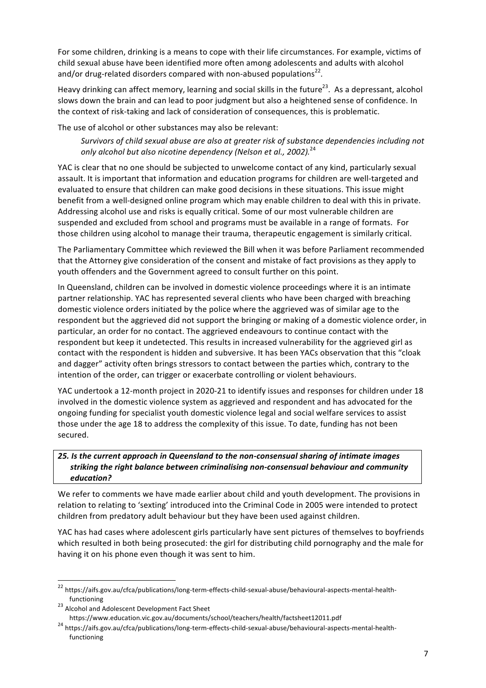For some children, drinking is a means to cope with their life circumstances. For example, victims of child sexual abuse have been identified more often among adolescents and adults with alcohol and/or drug-related disorders compared with non-abused populations<sup>22</sup>.

Heavy drinking can affect memory, learning and social skills in the future<sup>23</sup>. As a depressant, alcohol slows down the brain and can lead to poor judgment but also a heightened sense of confidence. In the context of risk-taking and lack of consideration of consequences, this is problematic.

The use of alcohol or other substances may also be relevant:

Survivors of child sexual abuse are also at greater risk of substance dependencies including not only alcohol but also nicotine dependency (Nelson et al., 2002).<sup>24</sup>

YAC is clear that no one should be subjected to unwelcome contact of any kind, particularly sexual assault. It is important that information and education programs for children are well-targeted and evaluated to ensure that children can make good decisions in these situations. This issue might benefit from a well-designed online program which may enable children to deal with this in private. Addressing alcohol use and risks is equally critical. Some of our most vulnerable children are suspended and excluded from school and programs must be available in a range of formats. For those children using alcohol to manage their trauma, therapeutic engagement is similarly critical.

The Parliamentary Committee which reviewed the Bill when it was before Parliament recommended that the Attorney give consideration of the consent and mistake of fact provisions as they apply to youth offenders and the Government agreed to consult further on this point.

In Queensland, children can be involved in domestic violence proceedings where it is an intimate partner relationship. YAC has represented several clients who have been charged with breaching domestic violence orders initiated by the police where the aggrieved was of similar age to the respondent but the aggrieved did not support the bringing or making of a domestic violence order, in particular, an order for no contact. The aggrieved endeavours to continue contact with the respondent but keep it undetected. This results in increased vulnerability for the aggrieved girl as contact with the respondent is hidden and subversive. It has been YACs observation that this "cloak and dagger" activity often brings stressors to contact between the parties which, contrary to the intention of the order, can trigger or exacerbate controlling or violent behaviours.

YAC undertook a 12-month project in 2020-21 to identify issues and responses for children under 18 involved in the domestic violence system as aggrieved and respondent and has advocated for the ongoing funding for specialist youth domestic violence legal and social welfare services to assist those under the age 18 to address the complexity of this issue. To date, funding has not been secured.

#### 25. Is the current approach in Queensland to the non-consensual sharing of intimate images striking the right balance between criminalising non-consensual behaviour and community *education?*

We refer to comments we have made earlier about child and youth development. The provisions in relation to relating to 'sexting' introduced into the Criminal Code in 2005 were intended to protect children from predatory adult behaviour but they have been used against children.

YAC has had cases where adolescent girls particularly have sent pictures of themselves to boyfriends which resulted in both being prosecuted: the girl for distributing child pornography and the male for having it on his phone even though it was sent to him.

 <sup>22</sup> https://aifs.gov.au/cfca/publications/long-term-effects-child-sexual-abuse/behavioural-aspects-mental-health-

functioning<br> $^{23}$  Alcohol and Adolescent Development Fact Sheet

https://www.education.vic.gov.au/documents/school/teachers/health/factsheet12011.pdf <sup>24</sup> https://aifs.gov.au/cfca/publications/long-term-effects-child-sexual-abuse/behavioural-aspects-mental-healthfunctioning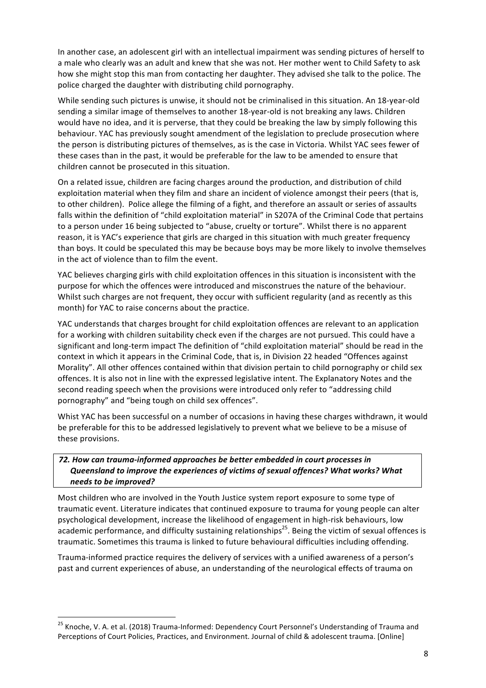In another case, an adolescent girl with an intellectual impairment was sending pictures of herself to a male who clearly was an adult and knew that she was not. Her mother went to Child Safety to ask how she might stop this man from contacting her daughter. They advised she talk to the police. The police charged the daughter with distributing child pornography.

While sending such pictures is unwise, it should not be criminalised in this situation. An 18-year-old sending a similar image of themselves to another 18-year-old is not breaking any laws. Children would have no idea, and it is perverse, that they could be breaking the law by simply following this behaviour. YAC has previously sought amendment of the legislation to preclude prosecution where the person is distributing pictures of themselves, as is the case in Victoria. Whilst YAC sees fewer of these cases than in the past, it would be preferable for the law to be amended to ensure that children cannot be prosecuted in this situation.

On a related issue, children are facing charges around the production, and distribution of child exploitation material when they film and share an incident of violence amongst their peers (that is, to other children). Police allege the filming of a fight, and therefore an assault or series of assaults falls within the definition of "child exploitation material" in S207A of the Criminal Code that pertains to a person under 16 being subjected to "abuse, cruelty or torture". Whilst there is no apparent reason, it is YAC's experience that girls are charged in this situation with much greater frequency than boys. It could be speculated this may be because boys may be more likely to involve themselves in the act of violence than to film the event.

YAC believes charging girls with child exploitation offences in this situation is inconsistent with the purpose for which the offences were introduced and misconstrues the nature of the behaviour. Whilst such charges are not frequent, they occur with sufficient regularity (and as recently as this month) for YAC to raise concerns about the practice.

YAC understands that charges brought for child exploitation offences are relevant to an application for a working with children suitability check even if the charges are not pursued. This could have a significant and long-term impact The definition of "child exploitation material" should be read in the context in which it appears in the Criminal Code, that is, in Division 22 headed "Offences against Morality". All other offences contained within that division pertain to child pornography or child sex offences. It is also not in line with the expressed legislative intent. The Explanatory Notes and the second reading speech when the provisions were introduced only refer to "addressing child pornography" and "being tough on child sex offences".

Whist YAC has been successful on a number of occasions in having these charges withdrawn, it would be preferable for this to be addressed legislatively to prevent what we believe to be a misuse of these provisions.

## 72. How can trauma-informed approaches be better embedded in court processes in *Queensland to improve the experiences of victims of sexual offences? What works? What needs to be improved?*

Most children who are involved in the Youth Justice system report exposure to some type of traumatic event. Literature indicates that continued exposure to trauma for young people can alter psychological development, increase the likelihood of engagement in high-risk behaviours, low academic performance, and difficulty sustaining relationships<sup>25</sup>. Being the victim of sexual offences is traumatic. Sometimes this trauma is linked to future behavioural difficulties including offending.

Trauma-informed practice requires the delivery of services with a unified awareness of a person's past and current experiences of abuse, an understanding of the neurological effects of trauma on

<sup>&</sup>lt;sup>25</sup> Knoche, V. A. et al. (2018) Trauma-Informed: Dependency Court Personnel's Understanding of Trauma and Perceptions of Court Policies, Practices, and Environment. Journal of child & adolescent trauma. [Online]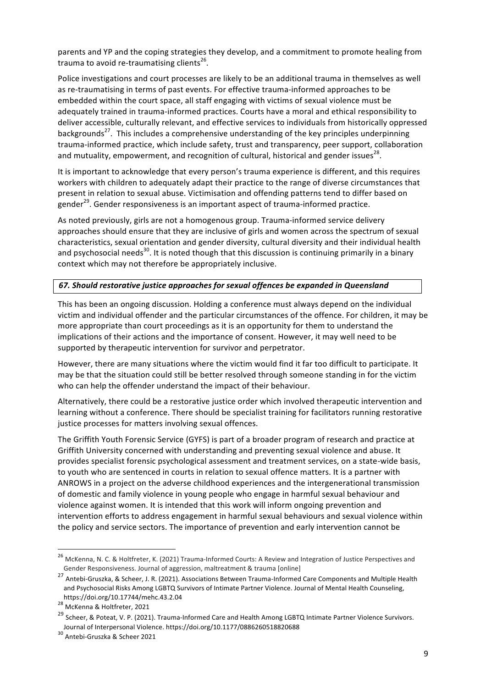parents and YP and the coping strategies they develop, and a commitment to promote healing from trauma to avoid re-traumatising clients<sup>26</sup>.

Police investigations and court processes are likely to be an additional trauma in themselves as well as re-traumatising in terms of past events. For effective trauma-informed approaches to be embedded within the court space, all staff engaging with victims of sexual violence must be adequately trained in trauma-informed practices. Courts have a moral and ethical responsibility to deliver accessible, culturally relevant, and effective services to individuals from historically oppressed backgrounds<sup>27</sup>. This includes a comprehensive understanding of the key principles underpinning trauma-informed practice, which include safety, trust and transparency, peer support, collaboration and mutuality, empowerment, and recognition of cultural, historical and gender issues<sup>28</sup>.

It is important to acknowledge that every person's trauma experience is different, and this requires workers with children to adequately adapt their practice to the range of diverse circumstances that present in relation to sexual abuse. Victimisation and offending patterns tend to differ based on gender<sup>29</sup>. Gender responsiveness is an important aspect of trauma-informed practice.

As noted previously, girls are not a homogenous group. Trauma-informed service delivery approaches should ensure that they are inclusive of girls and women across the spectrum of sexual characteristics, sexual orientation and gender diversity, cultural diversity and their individual health and psychosocial needs<sup>30</sup>. It is noted though that this discussion is continuing primarily in a binary context which may not therefore be appropriately inclusive.

#### 67. Should restorative justice approaches for sexual offences be expanded in Queensland

This has been an ongoing discussion. Holding a conference must always depend on the individual victim and individual offender and the particular circumstances of the offence. For children, it may be more appropriate than court proceedings as it is an opportunity for them to understand the implications of their actions and the importance of consent. However, it may well need to be supported by therapeutic intervention for survivor and perpetrator.

However, there are many situations where the victim would find it far too difficult to participate. It may be that the situation could still be better resolved through someone standing in for the victim who can help the offender understand the impact of their behaviour.

Alternatively, there could be a restorative justice order which involved therapeutic intervention and learning without a conference. There should be specialist training for facilitators running restorative justice processes for matters involving sexual offences.

The Griffith Youth Forensic Service (GYFS) is part of a broader program of research and practice at Griffith University concerned with understanding and preventing sexual violence and abuse. It provides specialist forensic psychological assessment and treatment services, on a state-wide basis, to youth who are sentenced in courts in relation to sexual offence matters. It is a partner with ANROWS in a project on the adverse childhood experiences and the intergenerational transmission of domestic and family violence in young people who engage in harmful sexual behaviour and violence against women. It is intended that this work will inform ongoing prevention and intervention efforts to address engagement in harmful sexual behaviours and sexual violence within the policy and service sectors. The importance of prevention and early intervention cannot be

<sup>&</sup>lt;sup>26</sup> McKenna, N. C. & Holtfreter, K. (2021) Trauma-Informed Courts: A Review and Integration of Justice Perspectives and Gender Responsiveness. Journal of aggression, maltreatment & trauma [online]

<sup>&</sup>lt;sup>27</sup> Antebi-Gruszka, & Scheer, J. R. (2021). Associations Between Trauma-Informed Care Components and Multiple Health and Psychosocial Risks Among LGBTQ Survivors of Intimate Partner Violence. Journal of Mental Health Counseling, https://doi.org/10.17744/mehc.43.2.04<br><sup>28</sup> McKenna & Holtfreter, 2021

 $^{29}$  Scheer, & Poteat, V. P. (2021). Trauma-Informed Care and Health Among LGBTQ Intimate Partner Violence Survivors. Journal of Interpersonal Violence. https://doi.org/10.1177/0886260518820688  $^{30}$  Antebi-Gruszka & Scheer 2021